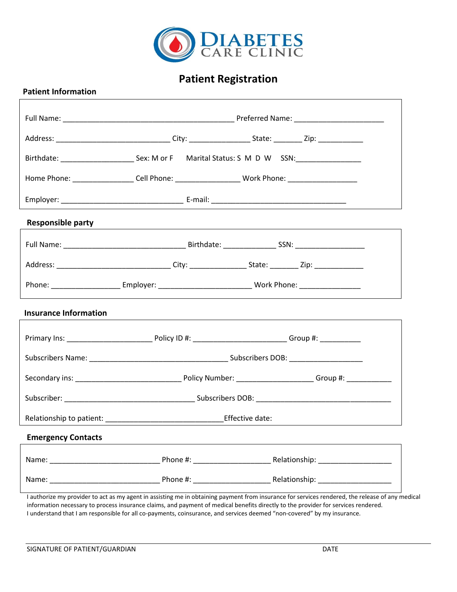

# **Patient Registration**

|                              | Address: _________________________________City: ______________________State: ___________Zip: _________________ |  |  |  |  |
|------------------------------|----------------------------------------------------------------------------------------------------------------|--|--|--|--|
|                              |                                                                                                                |  |  |  |  |
|                              | Home Phone: ___________________Cell Phone: _____________________Work Phone: _______________________            |  |  |  |  |
|                              |                                                                                                                |  |  |  |  |
| <b>Responsible party</b>     |                                                                                                                |  |  |  |  |
|                              |                                                                                                                |  |  |  |  |
|                              | Address: ________________________________City: _________________State: __________ Zip: __________________      |  |  |  |  |
|                              |                                                                                                                |  |  |  |  |
| <b>Insurance Information</b> |                                                                                                                |  |  |  |  |
|                              |                                                                                                                |  |  |  |  |
|                              |                                                                                                                |  |  |  |  |
|                              |                                                                                                                |  |  |  |  |
|                              |                                                                                                                |  |  |  |  |
|                              |                                                                                                                |  |  |  |  |
| <b>Emergency Contacts</b>    |                                                                                                                |  |  |  |  |
|                              |                                                                                                                |  |  |  |  |
|                              |                                                                                                                |  |  |  |  |
|                              |                                                                                                                |  |  |  |  |

I authorize my provider to act as my agent in assisting me in obtaining payment from insurance for services rendered, the release of any medical information necessary to process insurance claims, and payment of medical benefits directly to the provider for services rendered. I understand that I am responsible for all co-payments, coinsurance, and services deemed "non-covered" by my insurance.

 **Patient Information**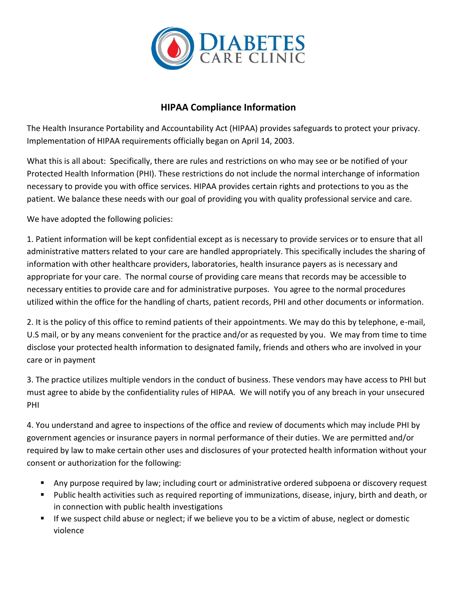

### **HIPAA Compliance Information**

The Health Insurance Portability and Accountability Act (HIPAA) provides safeguards to protect your privacy. Implementation of HIPAA requirements officially began on April 14, 2003.

What this is all about: Specifically, there are rules and restrictions on who may see or be notified of your Protected Health Information (PHI). These restrictions do not include the normal interchange of information necessary to provide you with office services. HIPAA provides certain rights and protections to you as the patient. We balance these needs with our goal of providing you with quality professional service and care.

We have adopted the following policies:

1. Patient information will be kept confidential except as is necessary to provide services or to ensure that all administrative matters related to your care are handled appropriately. This specifically includes the sharing of information with other healthcare providers, laboratories, health insurance payers as is necessary and appropriate for your care. The normal course of providing care means that records may be accessible to necessary entities to provide care and for administrative purposes. You agree to the normal procedures utilized within the office for the handling of charts, patient records, PHI and other documents or information.

2. It is the policy of this office to remind patients of their appointments. We may do this by telephone, e-mail, U.S mail, or by any means convenient for the practice and/or as requested by you. We may from time to time disclose your protected health information to designated family, friends and others who are involved in your care or in payment

3. The practice utilizes multiple vendors in the conduct of business. These vendors may have access to PHI but must agree to abide by the confidentiality rules of HIPAA. We will notify you of any breach in your unsecured PHI

4. You understand and agree to inspections of the office and review of documents which may include PHI by government agencies or insurance payers in normal performance of their duties. We are permitted and/or required by law to make certain other uses and disclosures of your protected health information without your consent or authorization for the following:

- **E** Any purpose required by law; including court or administrative ordered subpoena or discovery request
- Public health activities such as required reporting of immunizations, disease, injury, birth and death, or in connection with public health investigations
- If we suspect child abuse or neglect; if we believe you to be a victim of abuse, neglect or domestic violence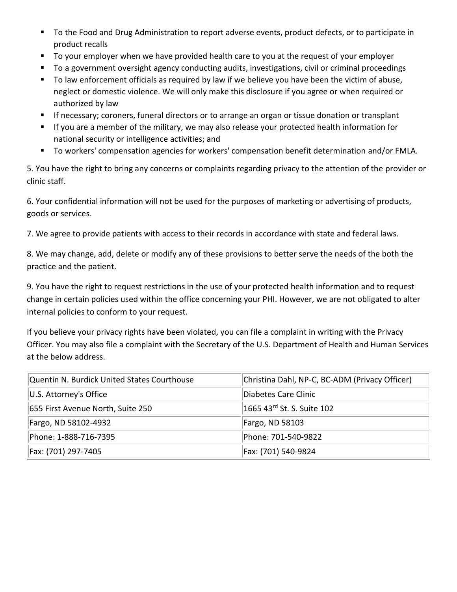- To the Food and Drug Administration to report adverse events, product defects, or to participate in product recalls
- To your employer when we have provided health care to you at the request of your employer
- To a government oversight agency conducting audits, investigations, civil or criminal proceedings
- To law enforcement officials as required by law if we believe you have been the victim of abuse, neglect or domestic violence. We will only make this disclosure if you agree or when required or authorized by law
- **EXTED** If necessary; coroners, funeral directors or to arrange an organ or tissue donation or transplant
- If you are a member of the military, we may also release your protected health information for national security or intelligence activities; and
- To workers' compensation agencies for workers' compensation benefit determination and/or FMLA.

5. You have the right to bring any concerns or complaints regarding privacy to the attention of the provider or clinic staff.

6. Your confidential information will not be used for the purposes of marketing or advertising of products, goods or services.

7. We agree to provide patients with access to their records in accordance with state and federal laws.

8. We may change, add, delete or modify any of these provisions to better serve the needs of the both the practice and the patient.

9. You have the right to request restrictions in the use of your protected health information and to request change in certain policies used within the office concerning your PHI. However, we are not obligated to alter internal policies to conform to your request.

If you believe your privacy rights have been violated, you can file a complaint in writing with the Privacy Officer. You may also file a complaint with the Secretary of the U.S. Department of Health and Human Services at the below address.

| Quentin N. Burdick United States Courthouse | Christina Dahl, NP-C, BC-ADM (Privacy Officer) |
|---------------------------------------------|------------------------------------------------|
| U.S. Attorney's Office                      | Diabetes Care Clinic                           |
| 655 First Avenue North, Suite 250           | 1665 43 <sup>rd</sup> St. S. Suite 102         |
| Fargo, ND 58102-4932                        | Fargo, ND 58103                                |
| Phone: 1-888-716-7395                       | Phone: 701-540-9822                            |
| Fax: (701) 297-7405                         | Fax: (701) 540-9824                            |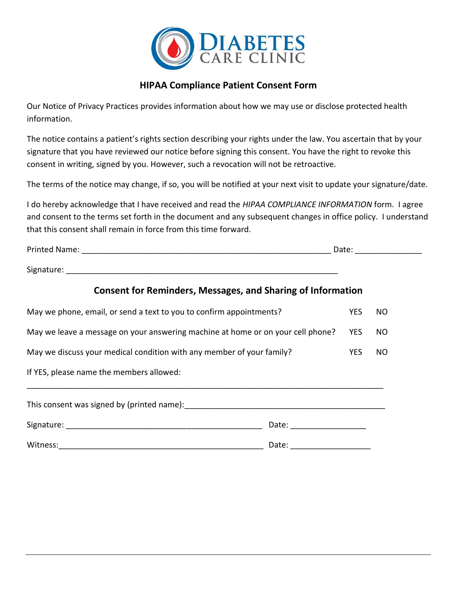

### **HIPAA Compliance Patient Consent Form**

Our Notice of Privacy Practices provides information about how we may use or disclose protected health information.

The notice contains a patient's rights section describing your rights under the law. You ascertain that by your signature that you have reviewed our notice before signing this consent. You have the right to revoke this consent in writing, signed by you. However, such a revocation will not be retroactive.

The terms of the notice may change, if so, you will be notified at your next visit to update your signature/date.

I do hereby acknowledge that I have received and read the *HIPAA COMPLIANCE INFORMATION* form. I agree and consent to the terms set forth in the document and any subsequent changes in office policy. I understand that this consent shall remain in force from this time forward.

|                                                                                 |                                |            | Date: the contract of the contract of the contract of the contract of the contract of the contract of the contract of the contract of the contract of the contract of the contract of the contract of the contract of the cont |
|---------------------------------------------------------------------------------|--------------------------------|------------|--------------------------------------------------------------------------------------------------------------------------------------------------------------------------------------------------------------------------------|
|                                                                                 |                                |            |                                                                                                                                                                                                                                |
| <b>Consent for Reminders, Messages, and Sharing of Information</b>              |                                |            |                                                                                                                                                                                                                                |
| May we phone, email, or send a text to you to confirm appointments?             |                                | <b>YES</b> | NO.                                                                                                                                                                                                                            |
| May we leave a message on your answering machine at home or on your cell phone? |                                |            | <b>NO</b>                                                                                                                                                                                                                      |
| May we discuss your medical condition with any member of your family?           |                                |            | <b>NO</b>                                                                                                                                                                                                                      |
| If YES, please name the members allowed:                                        |                                |            |                                                                                                                                                                                                                                |
|                                                                                 |                                |            |                                                                                                                                                                                                                                |
|                                                                                 |                                |            |                                                                                                                                                                                                                                |
|                                                                                 | Date: ________________________ |            |                                                                                                                                                                                                                                |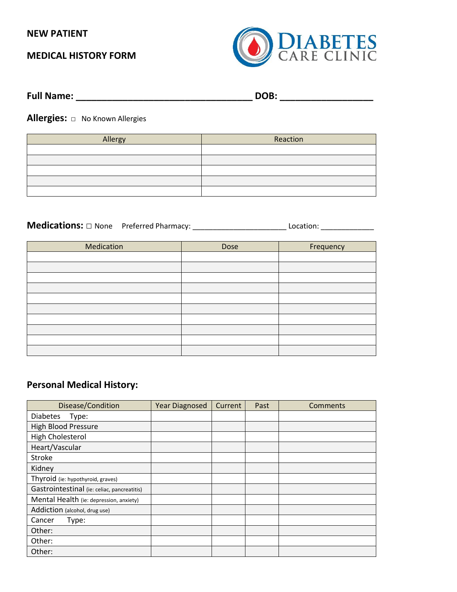#### **NEW PATIENT**

### **MEDICAL HISTORY FORM**



| <b>Full Name:</b> | DOB: |
|-------------------|------|
|                   |      |

**Allergies:** □ No Known Allergies

| Allergy | Reaction |
|---------|----------|
|         |          |
|         |          |
|         |          |
|         |          |
|         |          |

**Medications: □** None Preferred Pharmacy: \_\_\_\_\_\_\_\_\_\_\_\_\_\_\_\_\_\_\_\_\_\_\_ Location: \_\_\_\_\_\_\_\_\_\_\_\_\_

| Medication | Dose | Frequency |
|------------|------|-----------|
|            |      |           |
|            |      |           |
|            |      |           |
|            |      |           |
|            |      |           |
|            |      |           |
|            |      |           |
|            |      |           |
|            |      |           |
|            |      |           |

### **Personal Medical History:**

| Disease/Condition                           | <b>Year Diagnosed</b> | Current | Past | Comments |
|---------------------------------------------|-----------------------|---------|------|----------|
| <b>Diabetes</b><br>Type:                    |                       |         |      |          |
| <b>High Blood Pressure</b>                  |                       |         |      |          |
| High Cholesterol                            |                       |         |      |          |
| Heart/Vascular                              |                       |         |      |          |
| Stroke                                      |                       |         |      |          |
| Kidney                                      |                       |         |      |          |
| Thyroid (ie: hypothyroid, graves)           |                       |         |      |          |
| Gastrointestinal (ie: celiac, pancreatitis) |                       |         |      |          |
| Mental Health (ie: depression, anxiety)     |                       |         |      |          |
| Addiction (alcohol, drug use)               |                       |         |      |          |
| Cancer<br>Type:                             |                       |         |      |          |
| Other:                                      |                       |         |      |          |
| Other:                                      |                       |         |      |          |
| Other:                                      |                       |         |      |          |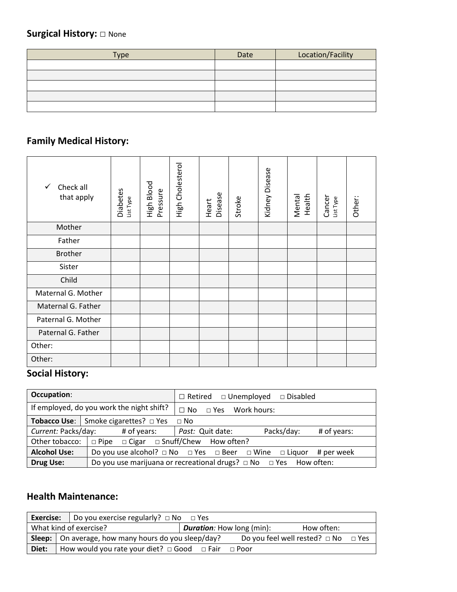# **Surgical History: □** None

| <b>Type</b> | Date | Location/Facility |
|-------------|------|-------------------|
|             |      |                   |
|             |      |                   |
|             |      |                   |
|             |      |                   |
|             |      |                   |

# **Family Medical History:**

| $\checkmark$<br>Check all<br>that apply | Diabetes<br>List Type | High Blood<br>Pressure | High Cholesterol | Disease<br>Heart | Stroke | Kidney Disease | Health<br>Mental | Cancer<br>List Type | Other: |
|-----------------------------------------|-----------------------|------------------------|------------------|------------------|--------|----------------|------------------|---------------------|--------|
| Mother                                  |                       |                        |                  |                  |        |                |                  |                     |        |
| Father                                  |                       |                        |                  |                  |        |                |                  |                     |        |
| <b>Brother</b>                          |                       |                        |                  |                  |        |                |                  |                     |        |
| Sister                                  |                       |                        |                  |                  |        |                |                  |                     |        |
| Child                                   |                       |                        |                  |                  |        |                |                  |                     |        |
| Maternal G. Mother                      |                       |                        |                  |                  |        |                |                  |                     |        |
| Maternal G. Father                      |                       |                        |                  |                  |        |                |                  |                     |        |
| Paternal G. Mother                      |                       |                        |                  |                  |        |                |                  |                     |        |
| Paternal G. Father                      |                       |                        |                  |                  |        |                |                  |                     |        |
| Other:                                  |                       |                        |                  |                  |        |                |                  |                     |        |
| Other:                                  |                       |                        |                  |                  |        |                |                  |                     |        |

# **Social History:**

| Occupation:                               |                                                                                           | $\Box$ Retired $\Box$ Unemployed $\Box$ Disabled     |  |  |  |
|-------------------------------------------|-------------------------------------------------------------------------------------------|------------------------------------------------------|--|--|--|
| If employed, do you work the night shift? |                                                                                           | $\Box$ No<br>□ Yes Work hours:                       |  |  |  |
|                                           | <b>Tobacco Use:</b> Smoke cigarettes? $\Box$ Yes                                          | $\Box$ No                                            |  |  |  |
| Current: Packs/day:<br># of years:        |                                                                                           | Packs/day:<br><i>Past:</i> Quit date:<br># of years: |  |  |  |
| Other tobacco:                            | $\Box$ Pipe $\Box$ Cigar $\Box$ Snuff/Chew How often?                                     |                                                      |  |  |  |
| <b>Alcohol Use:</b>                       | Do you use alcohol? $\Box$ No $\Box$ Yes $\Box$ Beer $\Box$ Wine $\Box$ Liquor # per week |                                                      |  |  |  |
| Drug Use:                                 | Do you use marijuana or recreational drugs? $\Box$ No $\Box$ Yes How often:               |                                                      |  |  |  |

### **Health Maintenance:**

|                                                                          | <b>Exercise:</b>   Do you exercise regularly? $\Box$ No $\Box$ Yes |                                                                    |  |  |                                               |  |  |
|--------------------------------------------------------------------------|--------------------------------------------------------------------|--------------------------------------------------------------------|--|--|-----------------------------------------------|--|--|
| What kind of exercise?<br><b>Duration:</b> How long (min):<br>How often: |                                                                    |                                                                    |  |  |                                               |  |  |
|                                                                          |                                                                    | <b>Sleep:</b> $\vert$ On average, how many hours do you sleep/day? |  |  | Do you feel well rested? $\Box$ No $\Box$ Yes |  |  |
| Diet:                                                                    | How would you rate your diet? $\Box$ Good $\Box$ Fair $\Box$ Poor  |                                                                    |  |  |                                               |  |  |